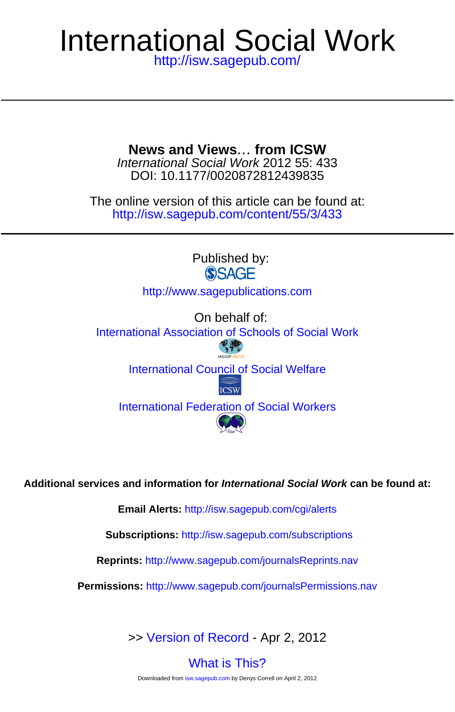## <http://isw.sagepub.com/> International Social Work

DOI: 10.1177/0020872812439835 International Social Work 2012 55: 433 **News and Views**… **from ICSW**

<http://isw.sagepub.com/content/55/3/433> The online version of this article can be found at:

Published by:<br>
SAGE <http://www.sagepublications.com> On behalf of: [International Association of Schools of Social Work](http://www.iassw-aiets.org/) [International Council of Social Welfare](http://www.icsw.org)<br>ICSW [International Federation of Social Workers](http://www.ifsw.org)

**Additional services and information for International Social Work can be found at:**

**Email Alerts:** <http://isw.sagepub.com/cgi/alerts>

**Subscriptions:** <http://isw.sagepub.com/subscriptions>

**Reprints:** <http://www.sagepub.com/journalsReprints.nav>

**Permissions:** <http://www.sagepub.com/journalsPermissions.nav>

>> [Version of Record -](http://isw.sagepub.com/content/55/3/433.full.pdf) Apr 2, 2012

[What is This?](http://online.sagepub.com/site/sphelp/vorhelp.xhtml) Downloaded from [isw.sagepub.com](http://isw.sagepub.com/) by Denys Correll on April 2, 2012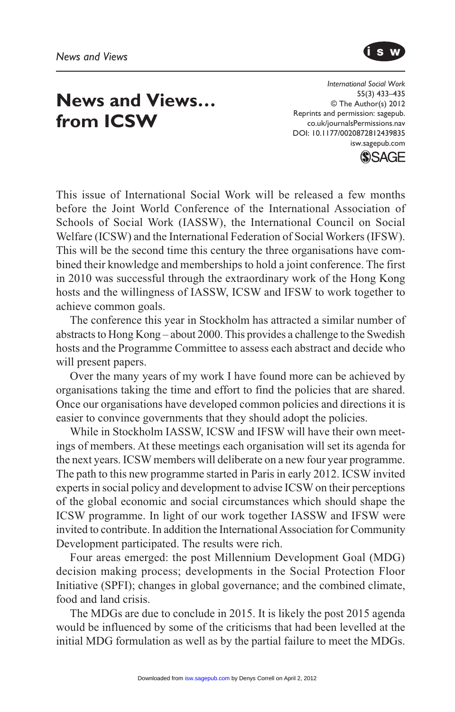

## **News and Views… from ICSW**

*International Social Work* 55(3) 433–435 © The Author(s) 2012 Reprints and permission: sagepub. co.uk/journalsPermissions.nav DOI: 10.1177/0020872812439835 isw.sagepub.com



This issue of International Social Work will be released a few months before the Joint World Conference of the International Association of Schools of Social Work (IASSW), the International Council on Social Welfare (ICSW) and the International Federation of Social Workers (IFSW). This will be the second time this century the three organisations have combined their knowledge and memberships to hold a joint conference. The first in 2010 was successful through the extraordinary work of the Hong Kong hosts and the willingness of IASSW, ICSW and IFSW to work together to achieve common goals.

The conference this year in Stockholm has attracted a similar number of abstracts to Hong Kong – about 2000. This provides a challenge to the Swedish hosts and the Programme Committee to assess each abstract and decide who will present papers.

Over the many years of my work I have found more can be achieved by organisations taking the time and effort to find the policies that are shared. Once our organisations have developed common policies and directions it is easier to convince governments that they should adopt the policies.

While in Stockholm IASSW, ICSW and IFSW will have their own meetings of members. At these meetings each organisation will set its agenda for the next years. ICSW members will deliberate on a new four year programme. The path to this new programme started in Paris in early 2012. ICSW invited experts in social policy and development to advise ICSW on their perceptions of the global economic and social circumstances which should shape the ICSW programme. In light of our work together IASSW and IFSW were invited to contribute. In addition the International Association for Community Development participated. The results were rich.

Four areas emerged: the post Millennium Development Goal (MDG) decision making process; developments in the Social Protection Floor Initiative (SPFI); changes in global governance; and the combined climate, food and land crisis.

The MDGs are due to conclude in 2015. It is likely the post 2015 agenda would be influenced by some of the criticisms that had been levelled at the initial MDG formulation as well as by the partial failure to meet the MDGs.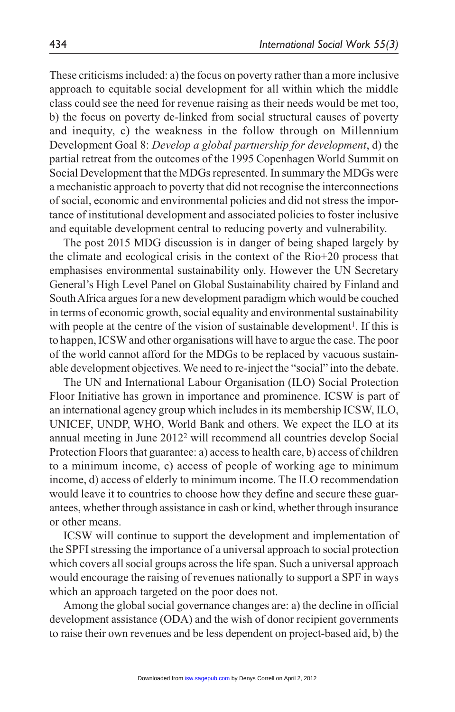These criticisms included: a) the focus on poverty rather than a more inclusive approach to equitable social development for all within which the middle class could see the need for revenue raising as their needs would be met too, b) the focus on poverty de-linked from social structural causes of poverty and inequity, c) the weakness in the follow through on Millennium Development Goal 8: *Develop a global partnership for development*, d) the partial retreat from the outcomes of the 1995 Copenhagen World Summit on Social Development that the MDGs represented. In summary the MDGs were a mechanistic approach to poverty that did not recognise the interconnections of social, economic and environmental policies and did not stress the importance of institutional development and associated policies to foster inclusive and equitable development central to reducing poverty and vulnerability.

The post 2015 MDG discussion is in danger of being shaped largely by the climate and ecological crisis in the context of the Rio+20 process that emphasises environmental sustainability only. However the UN Secretary General's High Level Panel on Global Sustainability chaired by Finland and South Africa argues for a new development paradigm which would be couched in terms of economic growth, social equality and environmental sustainability with people at the centre of the vision of sustainable development<sup>1</sup>. If this is to happen, ICSW and other organisations will have to argue the case. The poor of the world cannot afford for the MDGs to be replaced by vacuous sustainable development objectives. We need to re-inject the "social" into the debate.

The UN and International Labour Organisation (ILO) Social Protection Floor Initiative has grown in importance and prominence. ICSW is part of an international agency group which includes in its membership ICSW, ILO, UNICEF, UNDP, WHO, World Bank and others. We expect the ILO at its annual meeting in June 20122 will recommend all countries develop Social Protection Floors that guarantee: a) access to health care, b) access of children to a minimum income, c) access of people of working age to minimum income, d) access of elderly to minimum income. The ILO recommendation would leave it to countries to choose how they define and secure these guarantees, whether through assistance in cash or kind, whether through insurance or other means.

ICSW will continue to support the development and implementation of the SPFI stressing the importance of a universal approach to social protection which covers all social groups across the life span. Such a universal approach would encourage the raising of revenues nationally to support a SPF in ways which an approach targeted on the poor does not.

Among the global social governance changes are: a) the decline in official development assistance (ODA) and the wish of donor recipient governments to raise their own revenues and be less dependent on project-based aid, b) the